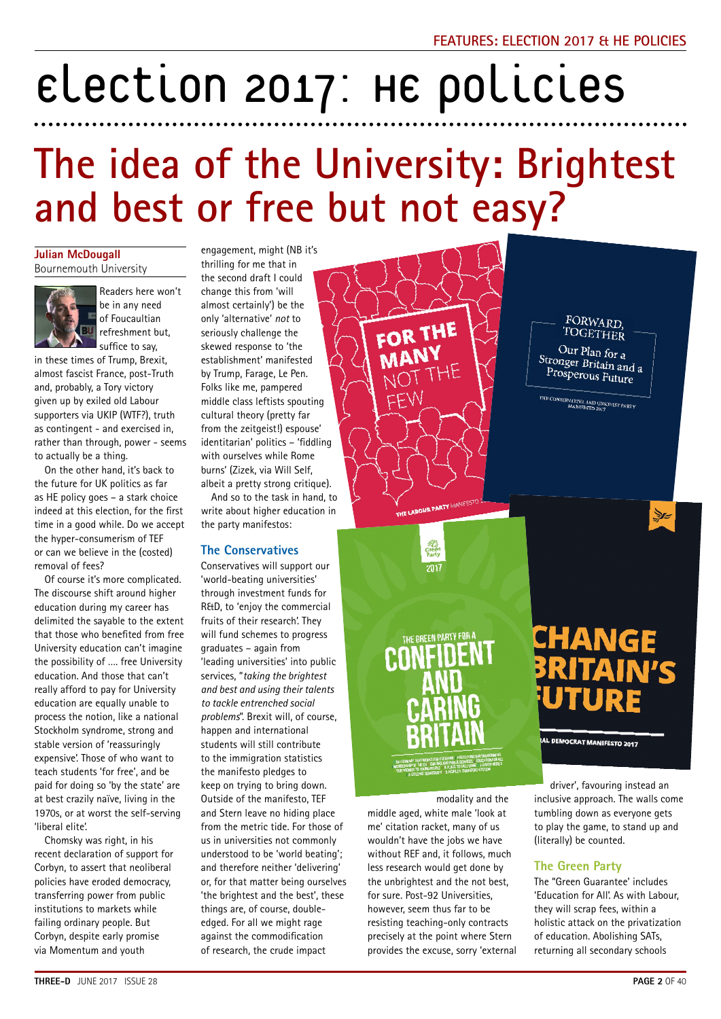# **The idea of the University: Brightest and best or free but not easy?** Election 2017: HE policies

#### **Julian McDougall**  Bournemouth University



Readers here won't be in any need of Foucaultian refreshment but, suffice to say,

in these times of Trump, Brexit, almost fascist France, post-Truth and, probably, a Tory victory given up by exiled old Labour supporters via UKIP (WTF?), truth as contingent - and exercised in, rather than through, power - seems to actually be a thing.

On the other hand, it's back to the future for UK politics as far as HE policy goes – a stark choice indeed at this election, for the first time in a good while. Do we accept the hyper-consumerism of TEF or can we believe in the (costed) removal of fees?

Of course it's more complicated. The discourse shift around higher education during my career has delimited the sayable to the extent that those who benefited from free University education can't imagine the possibility of …. free University education. And those that can't really afford to pay for University education are equally unable to process the notion, like a national Stockholm syndrome, strong and stable version of 'reassuringly expensive'. Those of who want to teach students 'for free', and be paid for doing so 'by the state' are at best crazily naïve, living in the 1970s, or at worst the self-serving 'liberal elite'.

Chomsky was right, in his recent declaration of support for Corbyn, to assert that neoliberal policies have eroded democracy, transferring power from public institutions to markets while failing ordinary people. But Corbyn, despite early promise via Momentum and youth

engagement, might (NB it's thrilling for me that in the second draft I could change this from 'will almost certainly') be the only 'alternative' *not* to seriously challenge the skewed response to 'the establishment' manifested by Trump, Farage, Le Pen. Folks like me, pampered middle class leftists spouting cultural theory (pretty far from the zeitgeist!) espouse' identitarian' politics – 'fiddling with ourselves while Rome burns' (Zizek, via Will Self, albeit a pretty strong critique).

And so to the task in hand, to write about higher education in the party manifestos:

#### **The Conservatives**

Conservatives will support our 'world-beating universities' through investment funds for R&D, to 'enjoy the commercial fruits of their research'. They will fund schemes to progress graduates – again from 'leading universities' into public services, "*taking the brightest and best and using their talents to tackle entrenched social problems*". Brexit will, of course, happen and international students will still contribute to the immigration statistics the manifesto pledges to keep on trying to bring down. Outside of the manifesto, TEF and Stern leave no hiding place from the metric tide. For those of us in universities not commonly understood to be 'world beating'; and therefore neither 'delivering' or, for that matter being ourselves 'the brightest and the best', these things are, of course, doubleedged. For all we might rage against the commodification of research, the crude impact



without REF and, it follows, much less research would get done by the unbrightest and the not best, for sure. Post-92 Universities, however, seem thus far to be resisting teaching-only contracts precisely at the point where Stern provides the excuse, sorry 'external

**The Green Party**

The "Green Guarantee' includes 'Education for All'. As with Labour, they will scrap fees, within a holistic attack on the privatization of education. Abolishing SATs, returning all secondary schools